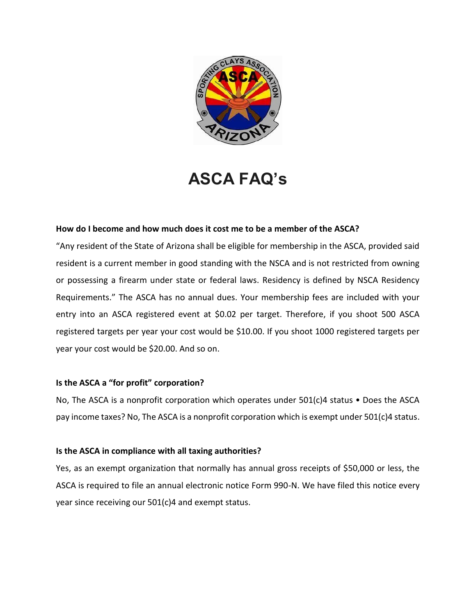

# **ASCA FAQ's**

## **How do I become and how much does it cost me to be a member of the ASCA?**

"Any resident of the State of Arizona shall be eligible for membership in the ASCA, provided said resident is a current member in good standing with the NSCA and is not restricted from owning or possessing a firearm under state or federal laws. Residency is defined by NSCA Residency Requirements." The ASCA has no annual dues. Your membership fees are included with your entry into an ASCA registered event at \$0.02 per target. Therefore, if you shoot 500 ASCA registered targets per year your cost would be \$10.00. If you shoot 1000 registered targets per year your cost would be \$20.00. And so on.

#### **Is the ASCA a "for profit" corporation?**

No, The ASCA is a nonprofit corporation which operates under 501(c)4 status • Does the ASCA pay income taxes? No, The ASCA is a nonprofit corporation which is exempt under 501(c)4 status.

#### **Is the ASCA in compliance with all taxing authorities?**

Yes, as an exempt organization that normally has annual gross receipts of \$50,000 or less, the ASCA is required to file an annual electronic notice Form 990-N. We have filed this notice every year since receiving our 501(c)4 and exempt status.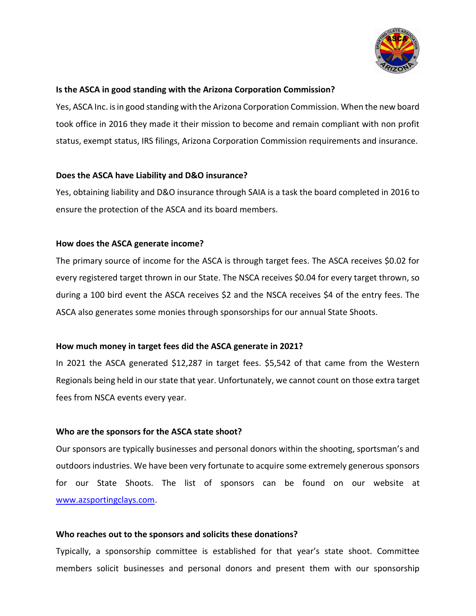

#### **Is the ASCA in good standing with the Arizona Corporation Commission?**

Yes, ASCA Inc. is in good standing with the Arizona Corporation Commission. When the new board took office in 2016 they made it their mission to become and remain compliant with non profit status, exempt status, IRS filings, Arizona Corporation Commission requirements and insurance.

## **Does the ASCA have Liability and D&O insurance?**

Yes, obtaining liability and D&O insurance through SAIA is a task the board completed in 2016 to ensure the protection of the ASCA and its board members.

# **How does the ASCA generate income?**

The primary source of income for the ASCA is through target fees. The ASCA receives \$0.02 for every registered target thrown in our State. The NSCA receives \$0.04 for every target thrown, so during a 100 bird event the ASCA receives \$2 and the NSCA receives \$4 of the entry fees. The ASCA also generates some monies through sponsorships for our annual State Shoots.

#### **How much money in target fees did the ASCA generate in 2021?**

In 2021 the ASCA generated \$12,287 in target fees. \$5,542 of that came from the Western Regionals being held in our state that year. Unfortunately, we cannot count on those extra target fees from NSCA events every year.

# **Who are the sponsors for the ASCA state shoot?**

Our sponsors are typically businesses and personal donors within the shooting, sportsman's and outdoors industries. We have been very fortunate to acquire some extremely generous sponsors for our State Shoots. The list of sponsors can be found on our website at [www.azsportingclays.com.](http://www.azsportingclays.com/)

#### **Who reaches out to the sponsors and solicits these donations?**

Typically, a sponsorship committee is established for that year's state shoot. Committee members solicit businesses and personal donors and present them with our sponsorship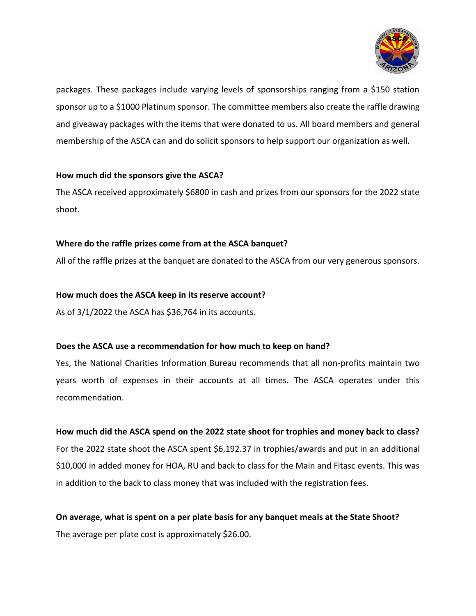

packages. These packages include varying levels of sponsorships ranging from a \$150 station sponsor up to a \$1000 Platinum sponsor. The committee members also create the raffle drawing and giveaway packages with the items that were donated to us. All board members and general membership of the ASCA can and do solicit sponsors to help support our organization as well.

## **How much did the sponsors give the ASCA?**

The ASCA received approximately \$6800 in cash and prizes from our sponsors for the 2022 state shoot.

# **Where do the raffle prizes come from at the ASCA banquet?**

All of the raffle prizes at the banquet are donated to the ASCA from our very generous sponsors.

#### **How much does the ASCA keep in its reserve account?**

As of 3/1/2022 the ASCA has \$36,764 in its accounts.

#### **Does the ASCA use a recommendation for how much to keep on hand?**

Yes, the National Charities Information Bureau recommends that all non-profits maintain two years worth of expenses in their accounts at all times. The ASCA operates under this recommendation.

#### **How much did the ASCA spend on the 2022 state shoot for trophies and money back to class?**

For the 2022 state shoot the ASCA spent \$6,192.37 in trophies/awards and put in an additional \$10,000 in added money for HOA, RU and back to class for the Main and Fitasc events. This was in addition to the back to class money that was included with the registration fees.

# **On average, what is spent on a per plate basis for any banquet meals at the State Shoot?** The average per plate cost is approximately \$26.00.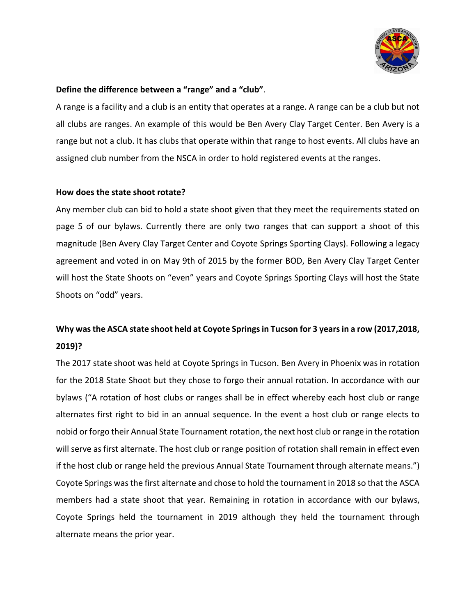

#### **Define the difference between a "range" and a "club"**.

A range is a facility and a club is an entity that operates at a range. A range can be a club but not all clubs are ranges. An example of this would be Ben Avery Clay Target Center. Ben Avery is a range but not a club. It has clubs that operate within that range to host events. All clubs have an assigned club number from the NSCA in order to hold registered events at the ranges.

#### **How does the state shoot rotate?**

Any member club can bid to hold a state shoot given that they meet the requirements stated on page 5 of our bylaws. Currently there are only two ranges that can support a shoot of this magnitude (Ben Avery Clay Target Center and Coyote Springs Sporting Clays). Following a legacy agreement and voted in on May 9th of 2015 by the former BOD, Ben Avery Clay Target Center will host the State Shoots on "even" years and Coyote Springs Sporting Clays will host the State Shoots on "odd" years.

# **Why was the ASCA state shoot held at Coyote Springs in Tucson for 3 years in a row (2017,2018, 2019)?**

The 2017 state shoot was held at Coyote Springs in Tucson. Ben Avery in Phoenix was in rotation for the 2018 State Shoot but they chose to forgo their annual rotation. In accordance with our bylaws ("A rotation of host clubs or ranges shall be in effect whereby each host club or range alternates first right to bid in an annual sequence. In the event a host club or range elects to nobid or forgo their Annual State Tournament rotation, the next host club or range in the rotation will serve as first alternate. The host club or range position of rotation shall remain in effect even if the host club or range held the previous Annual State Tournament through alternate means.") Coyote Springs was the first alternate and chose to hold the tournament in 2018 so that the ASCA members had a state shoot that year. Remaining in rotation in accordance with our bylaws, Coyote Springs held the tournament in 2019 although they held the tournament through alternate means the prior year.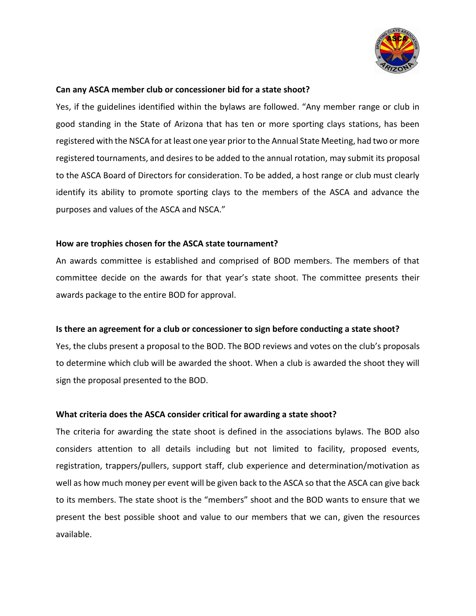

#### **Can any ASCA member club or concessioner bid for a state shoot?**

Yes, if the guidelines identified within the bylaws are followed. "Any member range or club in good standing in the State of Arizona that has ten or more sporting clays stations, has been registered with the NSCA for at least one year prior to the Annual State Meeting, had two or more registered tournaments, and desires to be added to the annual rotation, may submit its proposal to the ASCA Board of Directors for consideration. To be added, a host range or club must clearly identify its ability to promote sporting clays to the members of the ASCA and advance the purposes and values of the ASCA and NSCA."

#### **How are trophies chosen for the ASCA state tournament?**

An awards committee is established and comprised of BOD members. The members of that committee decide on the awards for that year's state shoot. The committee presents their awards package to the entire BOD for approval.

#### **Is there an agreement for a club or concessioner to sign before conducting a state shoot?**

Yes, the clubs present a proposal to the BOD. The BOD reviews and votes on the club's proposals to determine which club will be awarded the shoot. When a club is awarded the shoot they will sign the proposal presented to the BOD.

#### **What criteria does the ASCA consider critical for awarding a state shoot?**

The criteria for awarding the state shoot is defined in the associations bylaws. The BOD also considers attention to all details including but not limited to facility, proposed events, registration, trappers/pullers, support staff, club experience and determination/motivation as well as how much money per event will be given back to the ASCA so that the ASCA can give back to its members. The state shoot is the "members" shoot and the BOD wants to ensure that we present the best possible shoot and value to our members that we can, given the resources available.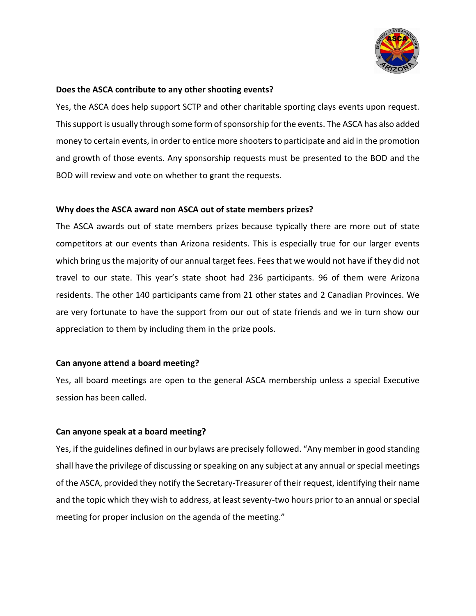

#### **Does the ASCA contribute to any other shooting events?**

Yes, the ASCA does help support SCTP and other charitable sporting clays events upon request. This support is usually through some form of sponsorship for the events. The ASCA has also added money to certain events, in order to entice more shooters to participate and aid in the promotion and growth of those events. Any sponsorship requests must be presented to the BOD and the BOD will review and vote on whether to grant the requests.

#### **Why does the ASCA award non ASCA out of state members prizes?**

The ASCA awards out of state members prizes because typically there are more out of state competitors at our events than Arizona residents. This is especially true for our larger events which bring us the majority of our annual target fees. Fees that we would not have if they did not travel to our state. This year's state shoot had 236 participants. 96 of them were Arizona residents. The other 140 participants came from 21 other states and 2 Canadian Provinces. We are very fortunate to have the support from our out of state friends and we in turn show our appreciation to them by including them in the prize pools.

#### **Can anyone attend a board meeting?**

Yes, all board meetings are open to the general ASCA membership unless a special Executive session has been called.

#### **Can anyone speak at a board meeting?**

Yes, if the guidelines defined in our bylaws are precisely followed. "Any member in good standing shall have the privilege of discussing or speaking on any subject at any annual or special meetings of the ASCA, provided they notify the Secretary-Treasurer of their request, identifying their name and the topic which they wish to address, at least seventy-two hours prior to an annual or special meeting for proper inclusion on the agenda of the meeting."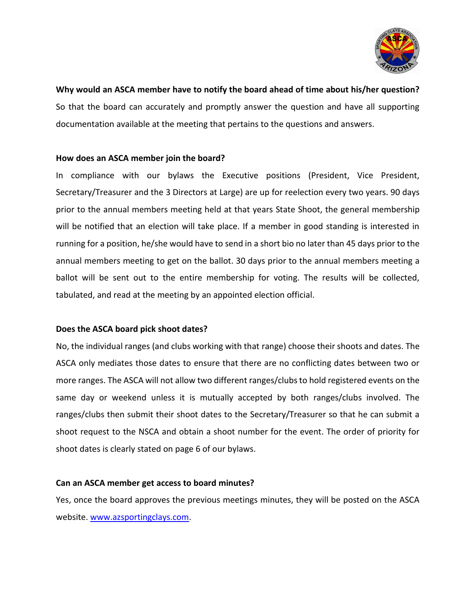

**Why would an ASCA member have to notify the board ahead of time about his/her question?** So that the board can accurately and promptly answer the question and have all supporting documentation available at the meeting that pertains to the questions and answers.

#### **How does an ASCA member join the board?**

In compliance with our bylaws the Executive positions (President, Vice President, Secretary/Treasurer and the 3 Directors at Large) are up for reelection every two years. 90 days prior to the annual members meeting held at that years State Shoot, the general membership will be notified that an election will take place. If a member in good standing is interested in running for a position, he/she would have to send in a short bio no later than 45 days prior to the annual members meeting to get on the ballot. 30 days prior to the annual members meeting a ballot will be sent out to the entire membership for voting. The results will be collected, tabulated, and read at the meeting by an appointed election official.

#### **Does the ASCA board pick shoot dates?**

No, the individual ranges (and clubs working with that range) choose their shoots and dates. The ASCA only mediates those dates to ensure that there are no conflicting dates between two or more ranges. The ASCA will not allow two different ranges/clubs to hold registered events on the same day or weekend unless it is mutually accepted by both ranges/clubs involved. The ranges/clubs then submit their shoot dates to the Secretary/Treasurer so that he can submit a shoot request to the NSCA and obtain a shoot number for the event. The order of priority for shoot dates is clearly stated on page 6 of our bylaws.

#### **Can an ASCA member get access to board minutes?**

Yes, once the board approves the previous meetings minutes, they will be posted on the ASCA website. [www.azsportingclays.com.](http://www.azsportingclays.com/)